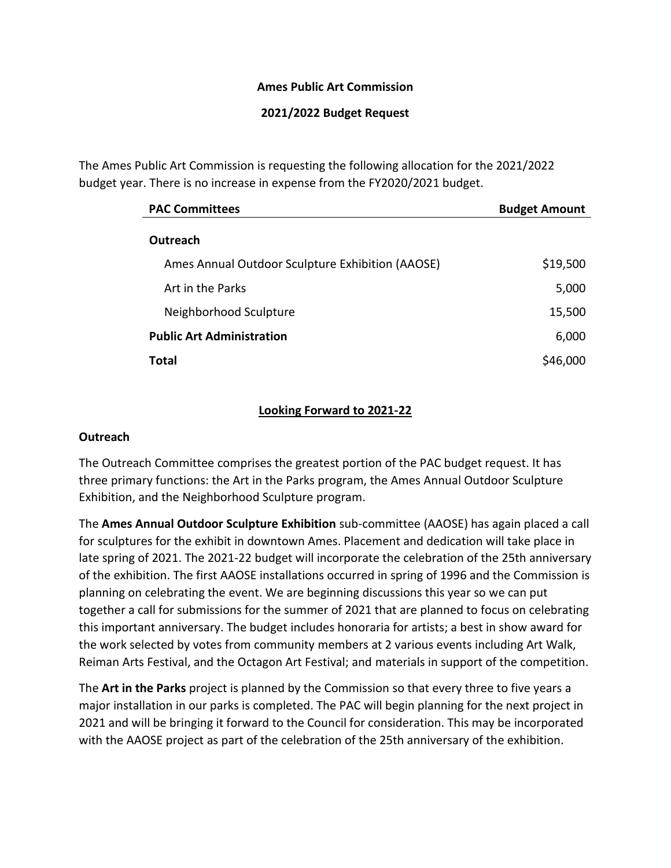### **Ames Public Art Commission**

### **2021/2022 Budget Request**

The Ames Public Art Commission is requesting the following allocation for the 2021/2022 budget year. There is no increase in expense from the FY2020/2021 budget.

| <b>PAC Committees</b>                            | <b>Budget Amount</b> |
|--------------------------------------------------|----------------------|
| Outreach                                         |                      |
| Ames Annual Outdoor Sculpture Exhibition (AAOSE) | \$19,500             |
| Art in the Parks                                 | 5,000                |
| Neighborhood Sculpture                           | 15,500               |
| <b>Public Art Administration</b>                 | 6,000                |
| Total                                            | \$46,000             |

### **Looking Forward to 2021-22**

#### **Outreach**

The Outreach Committee comprises the greatest portion of the PAC budget request. It has three primary functions: the Art in the Parks program, the Ames Annual Outdoor Sculpture Exhibition, and the Neighborhood Sculpture program.

The **Ames Annual Outdoor Sculpture Exhibition** sub-committee (AAOSE) has again placed a call for sculptures for the exhibit in downtown Ames. Placement and dedication will take place in late spring of 2021. The 2021-22 budget will incorporate the celebration of the 25th anniversary of the exhibition. The first AAOSE installations occurred in spring of 1996 and the Commission is planning on celebrating the event. We are beginning discussions this year so we can put together a call for submissions for the summer of 2021 that are planned to focus on celebrating this important anniversary. The budget includes honoraria for artists; a best in show award for the work selected by votes from community members at 2 various events including Art Walk, Reiman Arts Festival, and the Octagon Art Festival; and materials in support of the competition.

The **Art in the Parks** project is planned by the Commission so that every three to five years a major installation in our parks is completed. The PAC will begin planning for the next project in 2021 and will be bringing it forward to the Council for consideration. This may be incorporated with the AAOSE project as part of the celebration of the 25th anniversary of the exhibition.